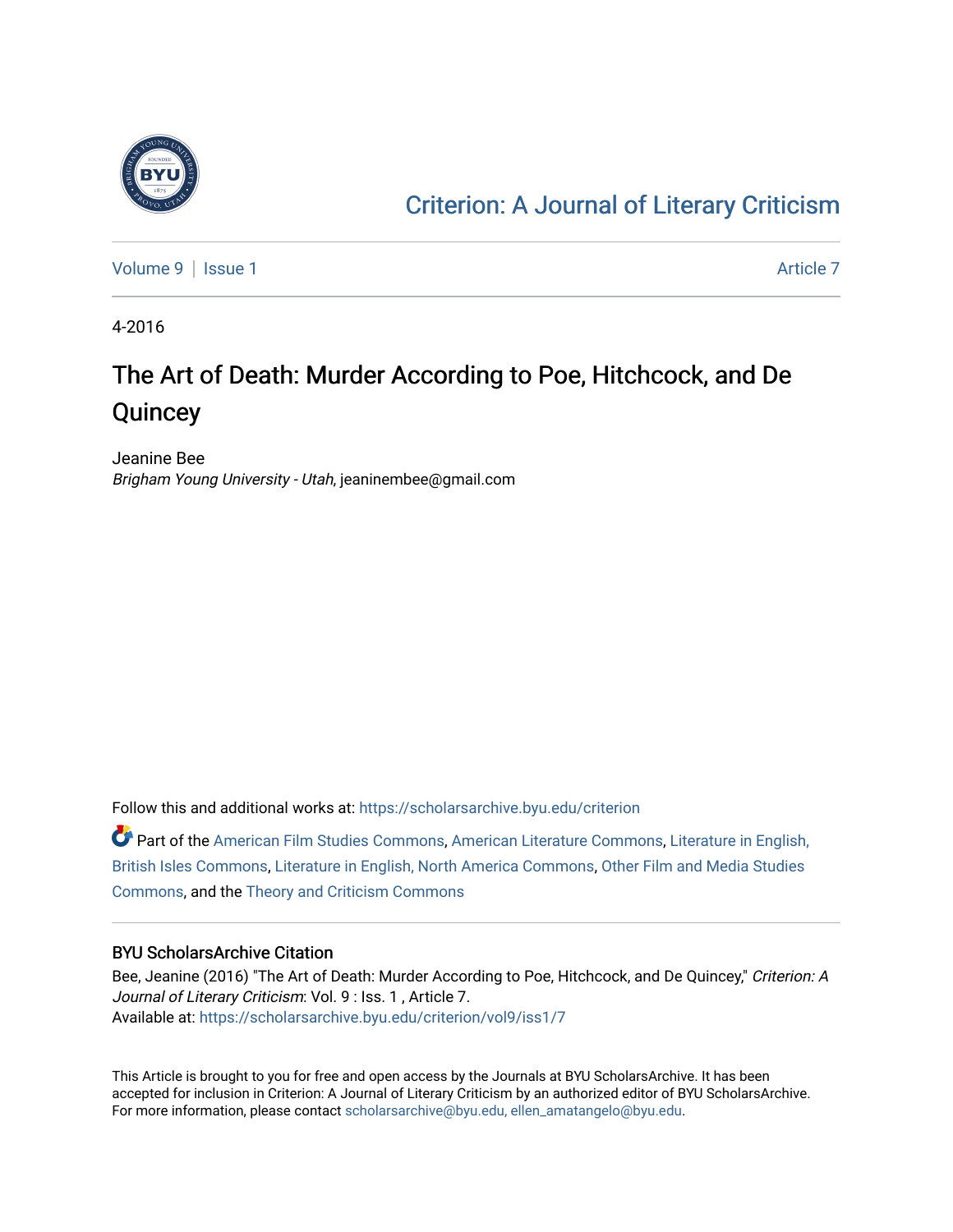

### [Criterion: A Journal of Literary Criticism](https://scholarsarchive.byu.edu/criterion)

[Volume 9](https://scholarsarchive.byu.edu/criterion/vol9) | [Issue 1](https://scholarsarchive.byu.edu/criterion/vol9/iss1) Article 7

4-2016

### The Art of Death: Murder According to Poe, Hitchcock, and De **Quincey**

Jeanine Bee Brigham Young University - Utah, jeaninembee@gmail.com

Follow this and additional works at: [https://scholarsarchive.byu.edu/criterion](https://scholarsarchive.byu.edu/criterion?utm_source=scholarsarchive.byu.edu%2Fcriterion%2Fvol9%2Fiss1%2F7&utm_medium=PDF&utm_campaign=PDFCoverPages) 

Part of the [American Film Studies Commons,](http://network.bepress.com/hgg/discipline/440?utm_source=scholarsarchive.byu.edu%2Fcriterion%2Fvol9%2Fiss1%2F7&utm_medium=PDF&utm_campaign=PDFCoverPages) [American Literature Commons](http://network.bepress.com/hgg/discipline/441?utm_source=scholarsarchive.byu.edu%2Fcriterion%2Fvol9%2Fiss1%2F7&utm_medium=PDF&utm_campaign=PDFCoverPages), [Literature in English,](http://network.bepress.com/hgg/discipline/456?utm_source=scholarsarchive.byu.edu%2Fcriterion%2Fvol9%2Fiss1%2F7&utm_medium=PDF&utm_campaign=PDFCoverPages) [British Isles Commons](http://network.bepress.com/hgg/discipline/456?utm_source=scholarsarchive.byu.edu%2Fcriterion%2Fvol9%2Fiss1%2F7&utm_medium=PDF&utm_campaign=PDFCoverPages), [Literature in English, North America Commons](http://network.bepress.com/hgg/discipline/458?utm_source=scholarsarchive.byu.edu%2Fcriterion%2Fvol9%2Fiss1%2F7&utm_medium=PDF&utm_campaign=PDFCoverPages), [Other Film and Media Studies](http://network.bepress.com/hgg/discipline/565?utm_source=scholarsarchive.byu.edu%2Fcriterion%2Fvol9%2Fiss1%2F7&utm_medium=PDF&utm_campaign=PDFCoverPages) [Commons](http://network.bepress.com/hgg/discipline/565?utm_source=scholarsarchive.byu.edu%2Fcriterion%2Fvol9%2Fiss1%2F7&utm_medium=PDF&utm_campaign=PDFCoverPages), and the [Theory and Criticism Commons](http://network.bepress.com/hgg/discipline/516?utm_source=scholarsarchive.byu.edu%2Fcriterion%2Fvol9%2Fiss1%2F7&utm_medium=PDF&utm_campaign=PDFCoverPages) 

#### BYU ScholarsArchive Citation

Bee, Jeanine (2016) "The Art of Death: Murder According to Poe, Hitchcock, and De Quincey," Criterion: A Journal of Literary Criticism: Vol. 9 : Iss. 1 , Article 7. Available at: [https://scholarsarchive.byu.edu/criterion/vol9/iss1/7](https://scholarsarchive.byu.edu/criterion/vol9/iss1/7?utm_source=scholarsarchive.byu.edu%2Fcriterion%2Fvol9%2Fiss1%2F7&utm_medium=PDF&utm_campaign=PDFCoverPages) 

This Article is brought to you for free and open access by the Journals at BYU ScholarsArchive. It has been accepted for inclusion in Criterion: A Journal of Literary Criticism by an authorized editor of BYU ScholarsArchive. For more information, please contact [scholarsarchive@byu.edu, ellen\\_amatangelo@byu.edu](mailto:scholarsarchive@byu.edu,%20ellen_amatangelo@byu.edu).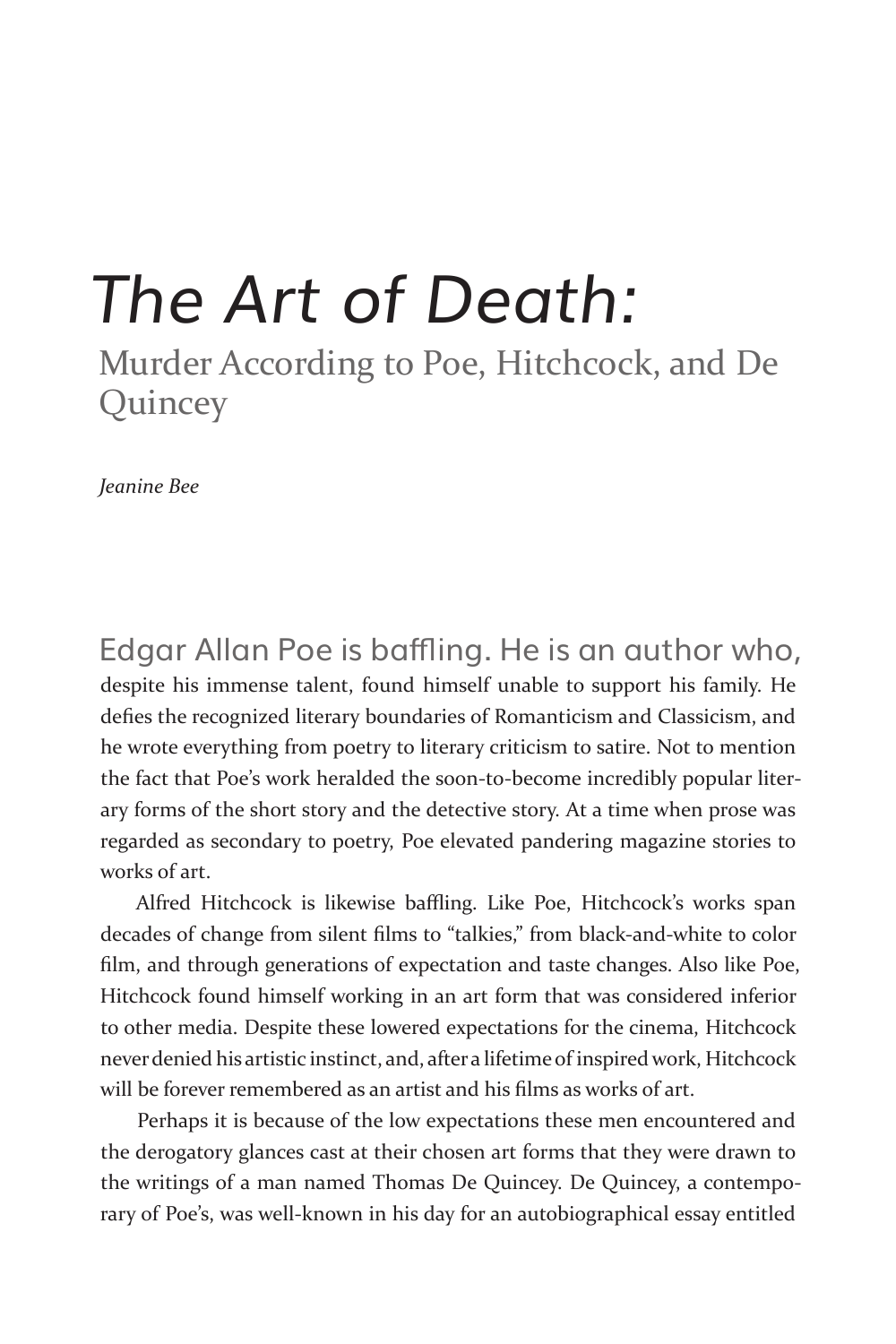# *The Art of Death:*

Murder According to Poe, Hitchcock, and De **Quincey** 

*Jeanine Bee*

Edgar Allan Poe is baffling. He is an author who, despite his immense talent, found himself unable to support his family. He defies the recognized literary boundaries of Romanticism and Classicism, and he wrote everything from poetry to literary criticism to satire. Not to mention the fact that Poe's work heralded the soon-to-become incredibly popular literary forms of the short story and the detective story. At a time when prose was regarded as secondary to poetry, Poe elevated pandering magazine stories to works of art.

Alfred Hitchcock is likewise baffling. Like Poe, Hitchcock's works span decades of change from silent films to "talkies," from black-and-white to color film, and through generations of expectation and taste changes. Also like Poe, Hitchcock found himself working in an art form that was considered inferior to other media. Despite these lowered expectations for the cinema, Hitchcock never denied his artistic instinct, and, after a lifetime of inspired work, Hitchcock will be forever remembered as an artist and his films as works of art.

Perhaps it is because of the low expectations these men encountered and the derogatory glances cast at their chosen art forms that they were drawn to the writings of a man named Thomas De Quincey. De Quincey, a contemporary of Poe's, was well-known in his day for an autobiographical essay entitled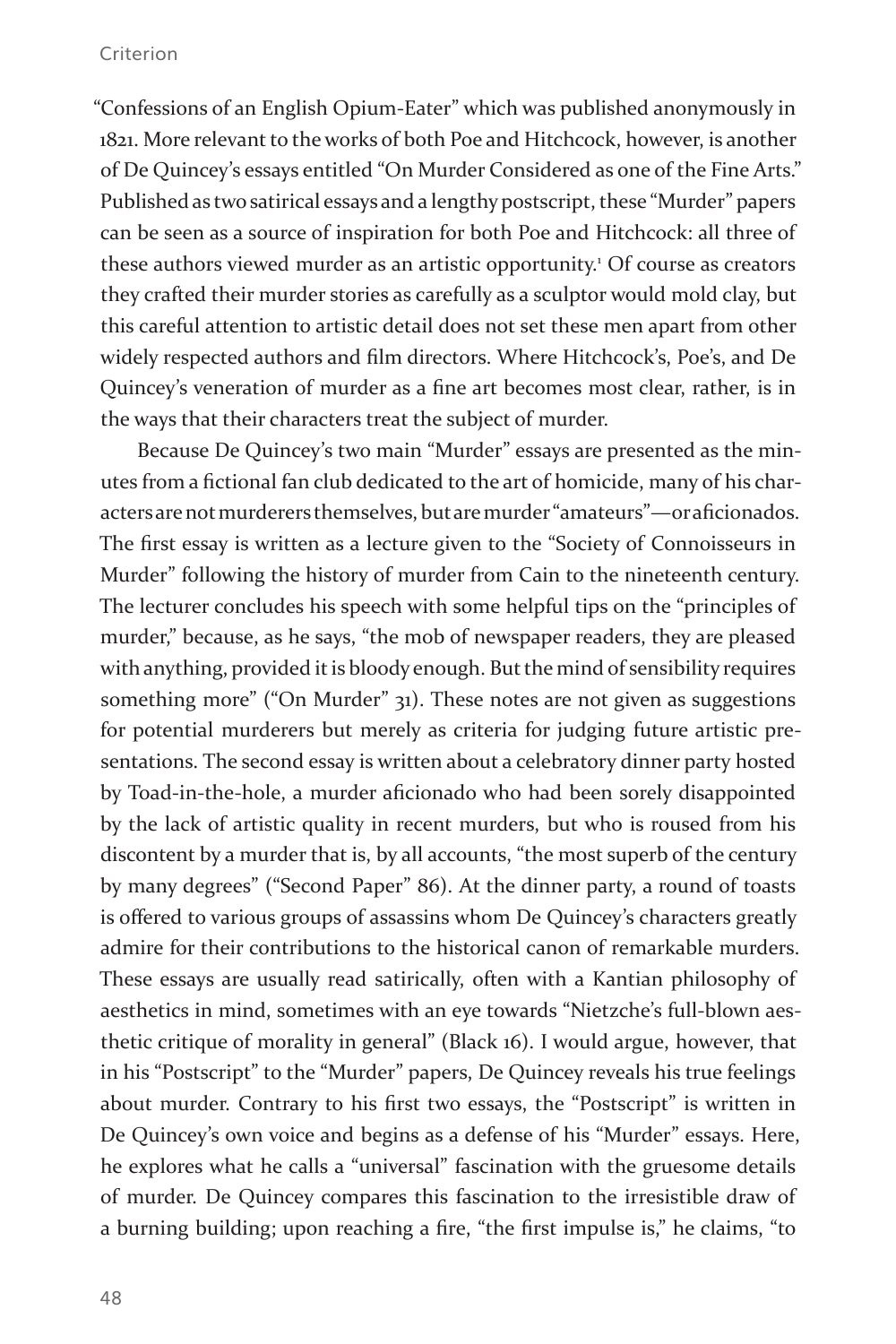"Confessions of an English Opium-Eater" which was published anonymously in 1821. More relevant to the works of both Poe and Hitchcock, however, is another of De Quincey's essays entitled "On Murder Considered as one of the Fine Arts." Published as two satirical essays and a lengthy postscript, these "Murder" papers can be seen as a source of inspiration for both Poe and Hitchcock: all three of these authors viewed murder as an artistic opportunity.<sup>1</sup> Of course as creators they crafted their murder stories as carefully as a sculptor would mold clay, but this careful attention to artistic detail does not set these men apart from other widely respected authors and film directors. Where Hitchcock's, Poe's, and De Quincey's veneration of murder as a fine art becomes most clear, rather, is in the ways that their characters treat the subject of murder.

Because De Quincey's two main "Murder" essays are presented as the minutes from a fictional fan club dedicated to the art of homicide, many of his characters are not murderers themselves, but are murder "amateurs"—or aficionados. The first essay is written as a lecture given to the "Society of Connoisseurs in Murder" following the history of murder from Cain to the nineteenth century. The lecturer concludes his speech with some helpful tips on the "principles of murder," because, as he says, "the mob of newspaper readers, they are pleased with anything, provided it is bloody enough. But the mind of sensibility requires something more" ("On Murder" 31). These notes are not given as suggestions for potential murderers but merely as criteria for judging future artistic presentations. The second essay is written about a celebratory dinner party hosted by Toad-in-the-hole, a murder aficionado who had been sorely disappointed by the lack of artistic quality in recent murders, but who is roused from his discontent by a murder that is, by all accounts, "the most superb of the century by many degrees" ("Second Paper" 86). At the dinner party, a round of toasts is offered to various groups of assassins whom De Quincey's characters greatly admire for their contributions to the historical canon of remarkable murders. These essays are usually read satirically, often with a Kantian philosophy of aesthetics in mind, sometimes with an eye towards "Nietzche's full-blown aesthetic critique of morality in general" (Black 16). I would argue, however, that in his "Postscript" to the "Murder" papers, De Quincey reveals his true feelings about murder. Contrary to his first two essays, the "Postscript" is written in De Quincey's own voice and begins as a defense of his "Murder" essays. Here, he explores what he calls a "universal" fascination with the gruesome details of murder. De Quincey compares this fascination to the irresistible draw of a burning building; upon reaching a fire, "the first impulse is," he claims, "to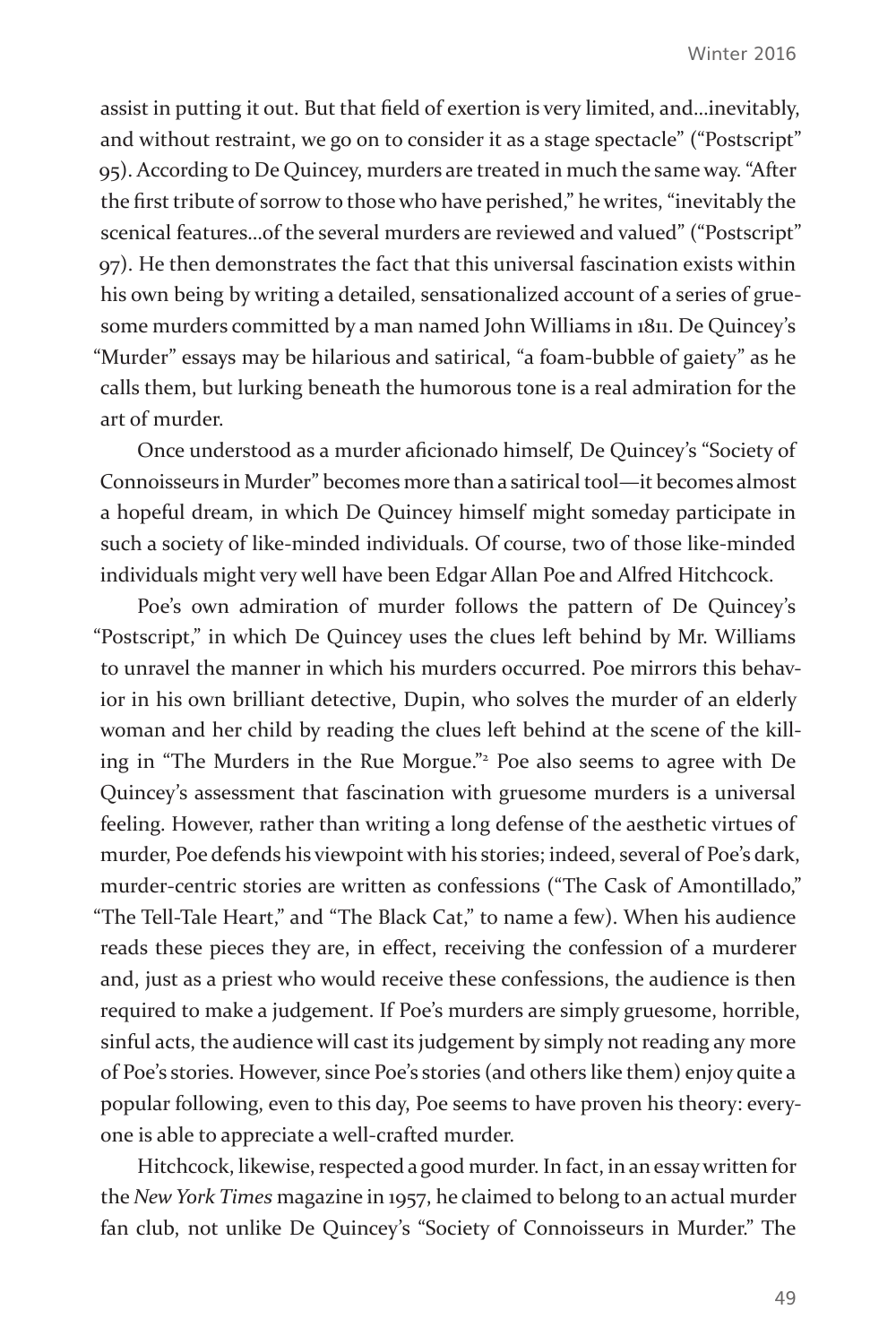assist in putting it out. But that field of exertion is very limited, and…inevitably, and without restraint, we go on to consider it as a stage spectacle" ("Postscript" 95). According to De Quincey, murders are treated in much the same way. "After the first tribute of sorrow to those who have perished," he writes, "inevitably the scenical features…of the several murders are reviewed and valued" ("Postscript" 97). He then demonstrates the fact that this universal fascination exists within his own being by writing a detailed, sensationalized account of a series of gruesome murders committed by a man named John Williams in 1811. De Quincey's "Murder" essays may be hilarious and satirical, "a foam-bubble of gaiety" as he calls them, but lurking beneath the humorous tone is a real admiration for the art of murder.

Once understood as a murder aficionado himself, De Quincey's "Society of Connoisseurs in Murder" becomes more than a satirical tool—it becomes almost a hopeful dream, in which De Quincey himself might someday participate in such a society of like-minded individuals. Of course, two of those like-minded individuals might very well have been Edgar Allan Poe and Alfred Hitchcock.

Poe's own admiration of murder follows the pattern of De Quincey's "Postscript," in which De Quincey uses the clues left behind by Mr. Williams to unravel the manner in which his murders occurred. Poe mirrors this behavior in his own brilliant detective, Dupin, who solves the murder of an elderly woman and her child by reading the clues left behind at the scene of the killing in "The Murders in the Rue Morgue."<sup>2</sup> Poe also seems to agree with De Quincey's assessment that fascination with gruesome murders is a universal feeling. However, rather than writing a long defense of the aesthetic virtues of murder, Poe defends his viewpoint with his stories; indeed, several of Poe's dark, murder-centric stories are written as confessions ("The Cask of Amontillado," "The Tell-Tale Heart," and "The Black Cat," to name a few). When his audience reads these pieces they are, in effect, receiving the confession of a murderer and, just as a priest who would receive these confessions, the audience is then required to make a judgement. If Poe's murders are simply gruesome, horrible, sinful acts, the audience will cast its judgement by simply not reading any more of Poe's stories. However, since Poe's stories (and others like them) enjoy quite a popular following, even to this day, Poe seems to have proven his theory: everyone is able to appreciate a well-crafted murder.

Hitchcock, likewise, respected a good murder. In fact, in an essay written for the *New York Times* magazine in 1957, he claimed to belong to an actual murder fan club, not unlike De Quincey's "Society of Connoisseurs in Murder." The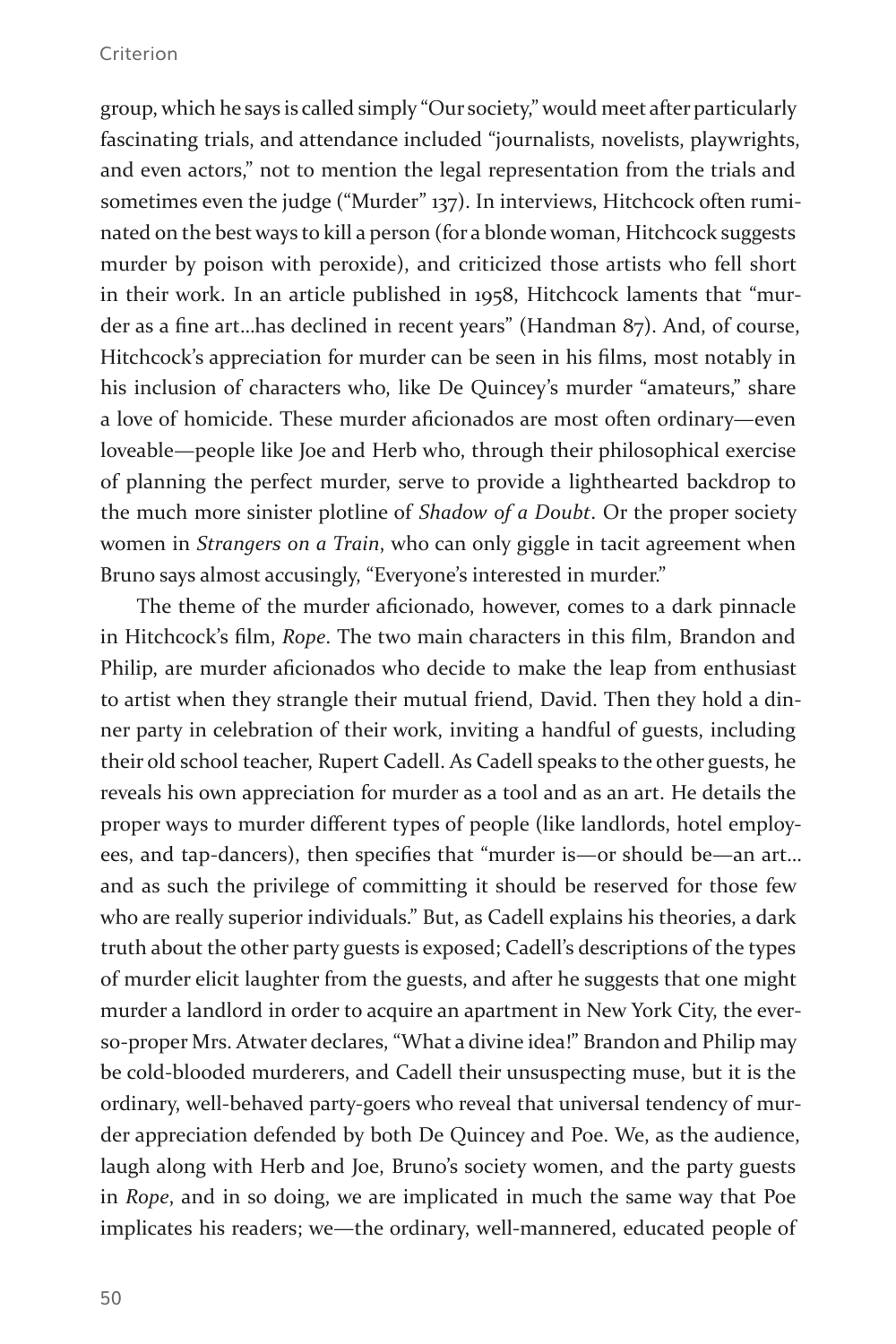group, which he says is called simply "Our society," would meet after particularly fascinating trials, and attendance included "journalists, novelists, playwrights, and even actors," not to mention the legal representation from the trials and sometimes even the judge ("Murder" 137). In interviews, Hitchcock often ruminated on the best ways to kill a person (for a blonde woman, Hitchcock suggests murder by poison with peroxide), and criticized those artists who fell short in their work. In an article published in 1958, Hitchcock laments that "murder as a fine art…has declined in recent years" (Handman 87). And, of course, Hitchcock's appreciation for murder can be seen in his films, most notably in his inclusion of characters who, like De Quincey's murder "amateurs," share a love of homicide. These murder aficionados are most often ordinary—even loveable—people like Joe and Herb who, through their philosophical exercise of planning the perfect murder, serve to provide a lighthearted backdrop to the much more sinister plotline of *Shadow of a Doubt*. Or the proper society women in *Strangers on a Train*, who can only giggle in tacit agreement when Bruno says almost accusingly, "Everyone's interested in murder."

The theme of the murder aficionado, however, comes to a dark pinnacle in Hitchcock's film, *Rope*. The two main characters in this film, Brandon and Philip, are murder aficionados who decide to make the leap from enthusiast to artist when they strangle their mutual friend, David. Then they hold a dinner party in celebration of their work, inviting a handful of guests, including their old school teacher, Rupert Cadell. As Cadell speaks to the other guests, he reveals his own appreciation for murder as a tool and as an art. He details the proper ways to murder different types of people (like landlords, hotel employees, and tap-dancers), then specifies that "murder is—or should be—an art… and as such the privilege of committing it should be reserved for those few who are really superior individuals." But, as Cadell explains his theories, a dark truth about the other party guests is exposed; Cadell's descriptions of the types of murder elicit laughter from the guests, and after he suggests that one might murder a landlord in order to acquire an apartment in New York City, the everso-proper Mrs. Atwater declares, "What a divine idea!" Brandon and Philip may be cold-blooded murderers, and Cadell their unsuspecting muse, but it is the ordinary, well-behaved party-goers who reveal that universal tendency of murder appreciation defended by both De Quincey and Poe. We, as the audience, laugh along with Herb and Joe, Bruno's society women, and the party guests in *Rope*, and in so doing, we are implicated in much the same way that Poe implicates his readers; we—the ordinary, well-mannered, educated people of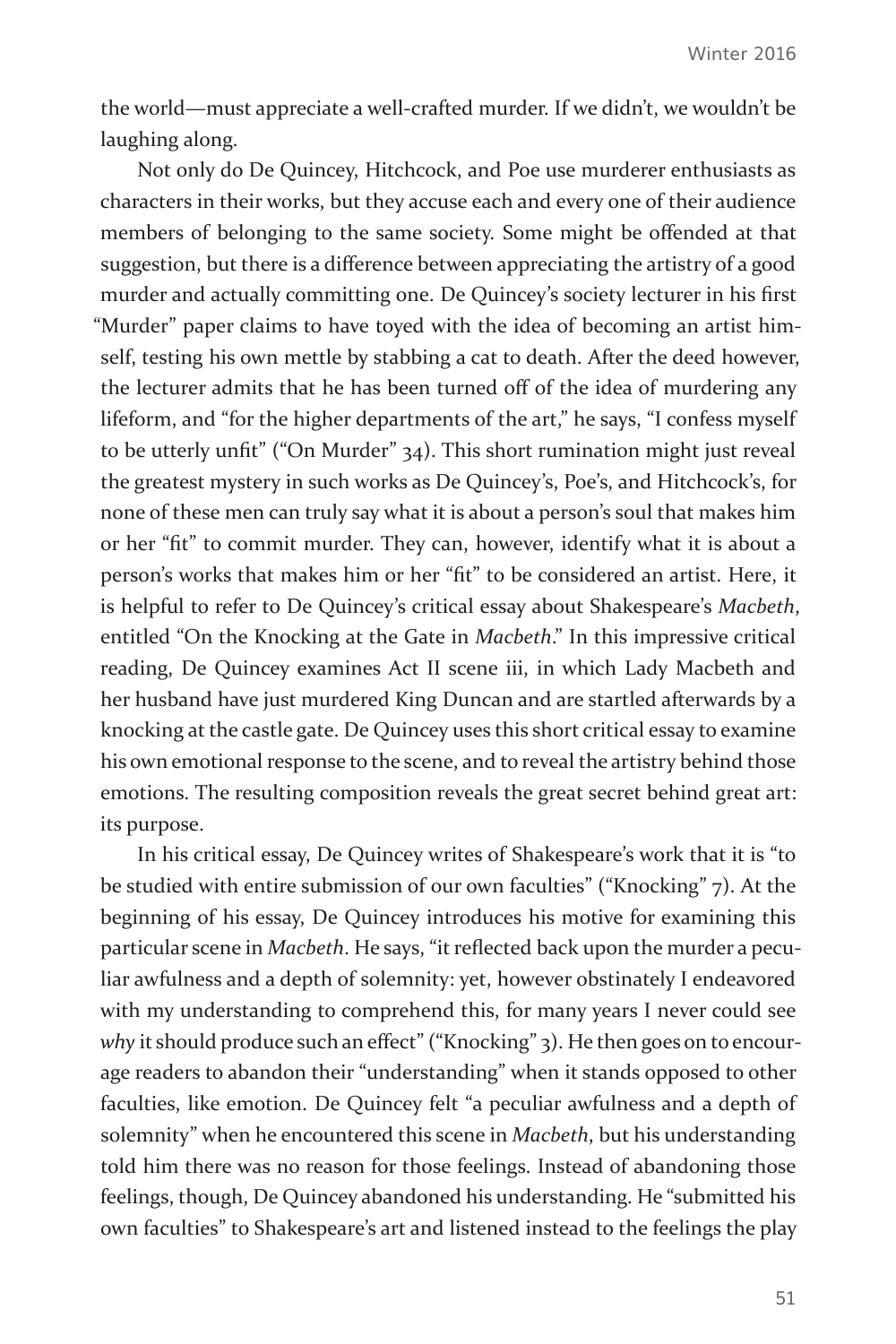the world—must appreciate a well-crafted murder. If we didn't, we wouldn't be laughing along.

Not only do De Quincey, Hitchcock, and Poe use murderer enthusiasts as characters in their works, but they accuse each and every one of their audience members of belonging to the same society. Some might be offended at that suggestion, but there is a difference between appreciating the artistry of a good murder and actually committing one. De Quincey's society lecturer in his first "Murder" paper claims to have toyed with the idea of becoming an artist himself, testing his own mettle by stabbing a cat to death. After the deed however, the lecturer admits that he has been turned off of the idea of murdering any lifeform, and "for the higher departments of the art," he says, "I confess myself to be utterly unfit" ("On Murder" 34). This short rumination might just reveal the greatest mystery in such works as De Quincey's, Poe's, and Hitchcock's, for none of these men can truly say what it is about a person's soul that makes him or her "fit" to commit murder. They can, however, identify what it is about a person's works that makes him or her "fit" to be considered an artist. Here, it is helpful to refer to De Quincey's critical essay about Shakespeare's *Macbeth*, entitled "On the Knocking at the Gate in *Macbeth*." In this impressive critical reading, De Quincey examines Act II scene iii, in which Lady Macbeth and her husband have just murdered King Duncan and are startled afterwards by a knocking at the castle gate. De Quincey uses this short critical essay to examine his own emotional response to the scene, and to reveal the artistry behind those emotions. The resulting composition reveals the great secret behind great art: its purpose.

In his critical essay, De Quincey writes of Shakespeare's work that it is "to be studied with entire submission of our own faculties" ("Knocking" 7). At the beginning of his essay, De Quincey introduces his motive for examining this particular scene in *Macbeth*. He says, "it reflected back upon the murder a peculiar awfulness and a depth of solemnity: yet, however obstinately I endeavored with my understanding to comprehend this, for many years I never could see why it should produce such an effect" ("Knocking" 3). He then goes on to encourage readers to abandon their "understanding" when it stands opposed to other faculties, like emotion. De Quincey felt "a peculiar awfulness and a depth of solemnity" when he encountered this scene in *Macbeth*, but his understanding told him there was no reason for those feelings. Instead of abandoning those feelings, though, De Quincey abandoned his understanding. He "submitted his own faculties" to Shakespeare's art and listened instead to the feelings the play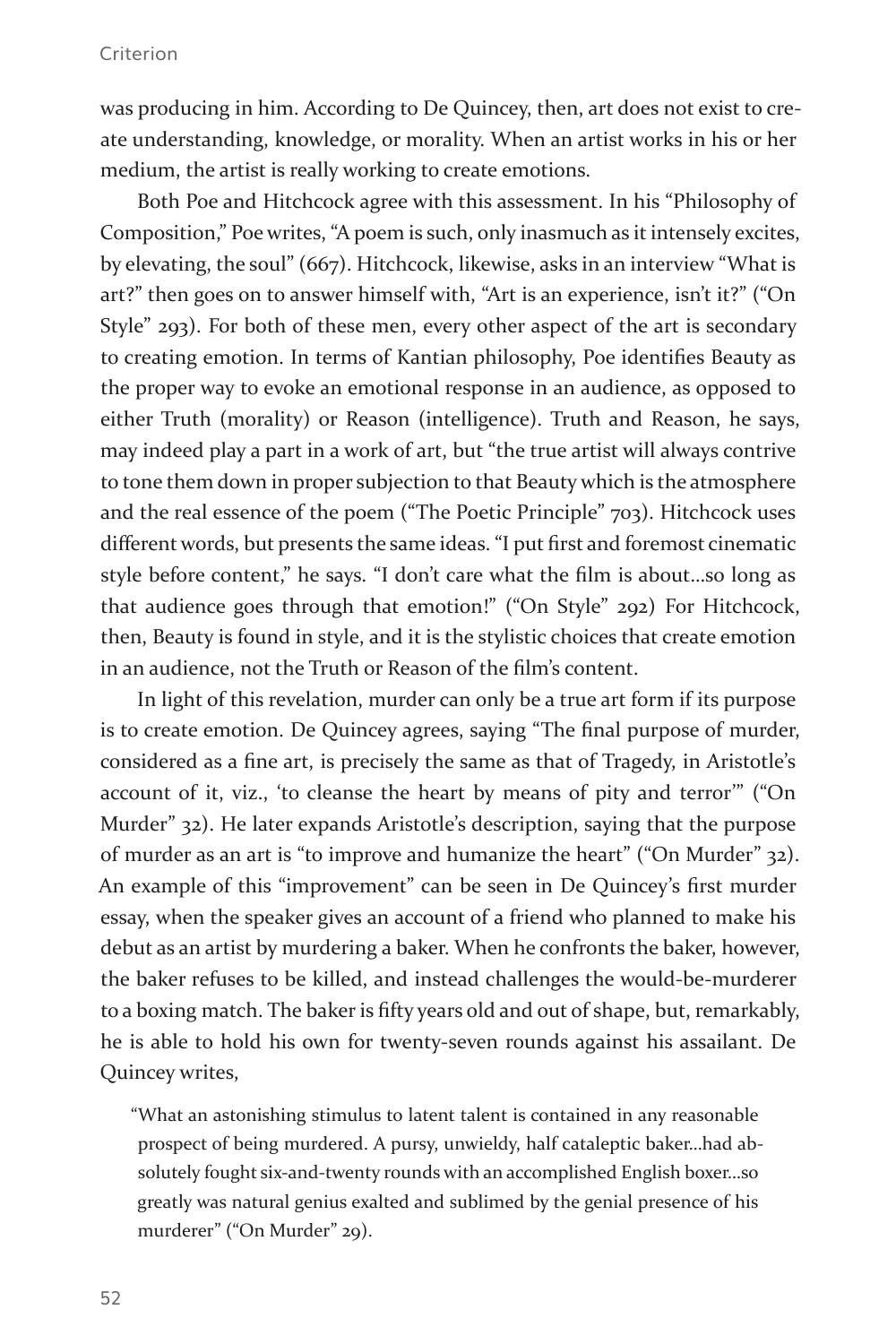was producing in him. According to De Quincey, then, art does not exist to create understanding, knowledge, or morality. When an artist works in his or her medium, the artist is really working to create emotions.

Both Poe and Hitchcock agree with this assessment. In his "Philosophy of Composition," Poe writes, "A poem is such, only inasmuch as it intensely excites, by elevating, the soul" (667). Hitchcock, likewise, asks in an interview "What is art?" then goes on to answer himself with, "Art is an experience, isn't it?" ("On Style" 293). For both of these men, every other aspect of the art is secondary to creating emotion. In terms of Kantian philosophy, Poe identifies Beauty as the proper way to evoke an emotional response in an audience, as opposed to either Truth (morality) or Reason (intelligence). Truth and Reason, he says, may indeed play a part in a work of art, but "the true artist will always contrive to tone them down in proper subjection to that Beauty which is the atmosphere and the real essence of the poem ("The Poetic Principle" 703). Hitchcock uses different words, but presents the same ideas. "I put first and foremost cinematic style before content," he says. "I don't care what the film is about…so long as that audience goes through that emotion!" ("On Style" 292) For Hitchcock, then, Beauty is found in style, and it is the stylistic choices that create emotion in an audience, not the Truth or Reason of the film's content.

In light of this revelation, murder can only be a true art form if its purpose is to create emotion. De Quincey agrees, saying "The final purpose of murder, considered as a fine art, is precisely the same as that of Tragedy, in Aristotle's account of it, viz., 'to cleanse the heart by means of pity and terror'" ("On Murder" 32). He later expands Aristotle's description, saying that the purpose of murder as an art is "to improve and humanize the heart" ("On Murder" 32). An example of this "improvement" can be seen in De Quincey's first murder essay, when the speaker gives an account of a friend who planned to make his debut as an artist by murdering a baker. When he confronts the baker, however, the baker refuses to be killed, and instead challenges the would-be-murderer to a boxing match. The baker is fifty years old and out of shape, but, remarkably, he is able to hold his own for twenty-seven rounds against his assailant. De Quincey writes,

"What an astonishing stimulus to latent talent is contained in any reasonable prospect of being murdered. A pursy, unwieldy, half cataleptic baker…had absolutely fought six-and-twenty rounds with an accomplished English boxer…so greatly was natural genius exalted and sublimed by the genial presence of his murderer" ("On Murder" 29).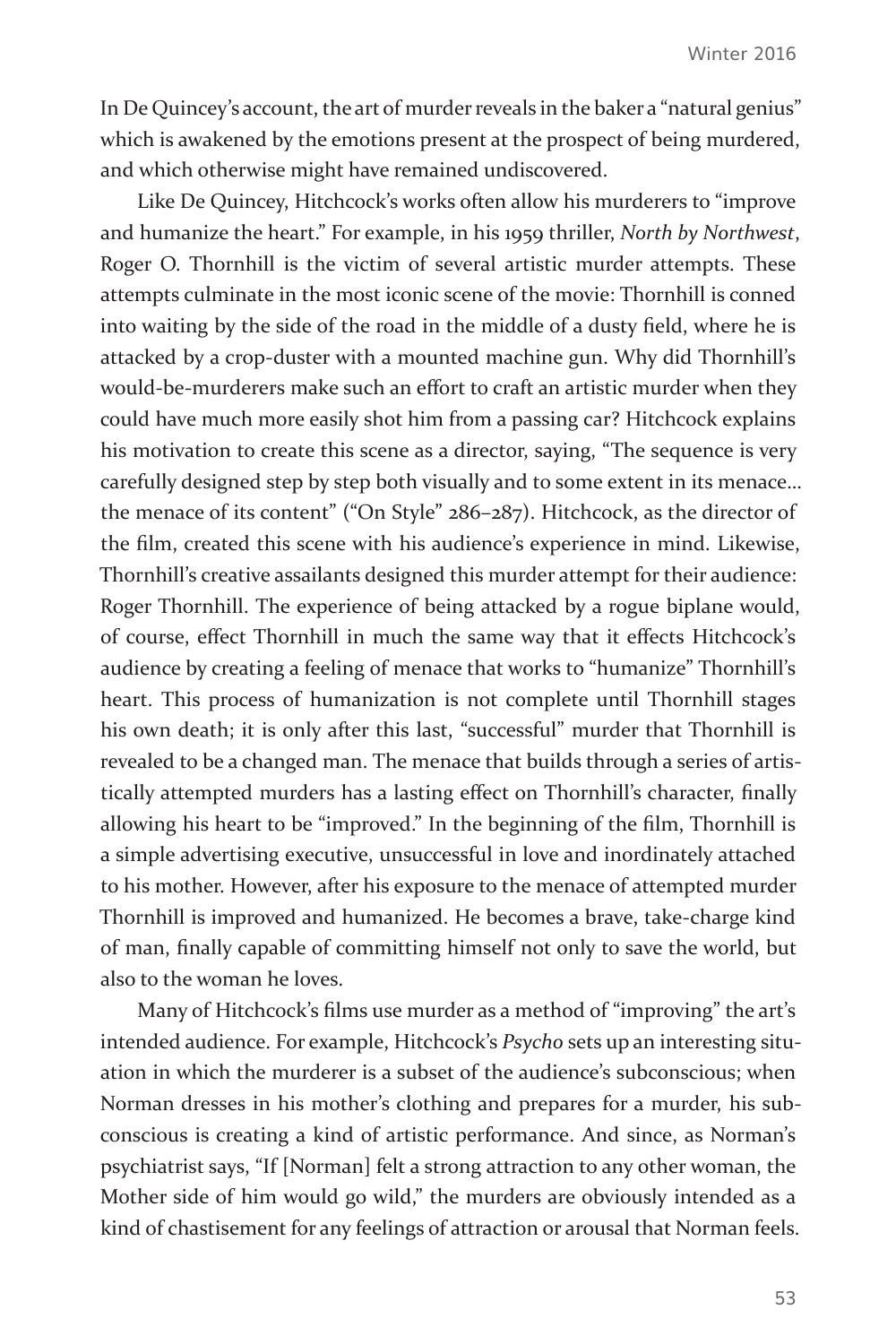In De Quincey's account, the art of murder reveals in the baker a "natural genius" which is awakened by the emotions present at the prospect of being murdered, and which otherwise might have remained undiscovered.

Like De Quincey, Hitchcock's works often allow his murderers to "improve and humanize the heart." For example, in his 1959 thriller, *North by Northwest*, Roger O. Thornhill is the victim of several artistic murder attempts. These attempts culminate in the most iconic scene of the movie: Thornhill is conned into waiting by the side of the road in the middle of a dusty field, where he is attacked by a crop-duster with a mounted machine gun. Why did Thornhill's would-be-murderers make such an effort to craft an artistic murder when they could have much more easily shot him from a passing car? Hitchcock explains his motivation to create this scene as a director, saying, "The sequence is very carefully designed step by step both visually and to some extent in its menace… the menace of its content" ("On Style" 286–287). Hitchcock, as the director of the film, created this scene with his audience's experience in mind. Likewise, Thornhill's creative assailants designed this murder attempt for their audience: Roger Thornhill. The experience of being attacked by a rogue biplane would, of course, effect Thornhill in much the same way that it effects Hitchcock's audience by creating a feeling of menace that works to "humanize" Thornhill's heart. This process of humanization is not complete until Thornhill stages his own death; it is only after this last, "successful" murder that Thornhill is revealed to be a changed man. The menace that builds through a series of artistically attempted murders has a lasting effect on Thornhill's character, finally allowing his heart to be "improved." In the beginning of the film, Thornhill is a simple advertising executive, unsuccessful in love and inordinately attached to his mother. However, after his exposure to the menace of attempted murder Thornhill is improved and humanized. He becomes a brave, take-charge kind of man, finally capable of committing himself not only to save the world, but also to the woman he loves.

Many of Hitchcock's films use murder as a method of "improving" the art's intended audience. For example, Hitchcock's *Psycho* sets up an interesting situation in which the murderer is a subset of the audience's subconscious; when Norman dresses in his mother's clothing and prepares for a murder, his subconscious is creating a kind of artistic performance. And since, as Norman's psychiatrist says, "If [Norman] felt a strong attraction to any other woman, the Mother side of him would go wild," the murders are obviously intended as a kind of chastisement for any feelings of attraction or arousal that Norman feels.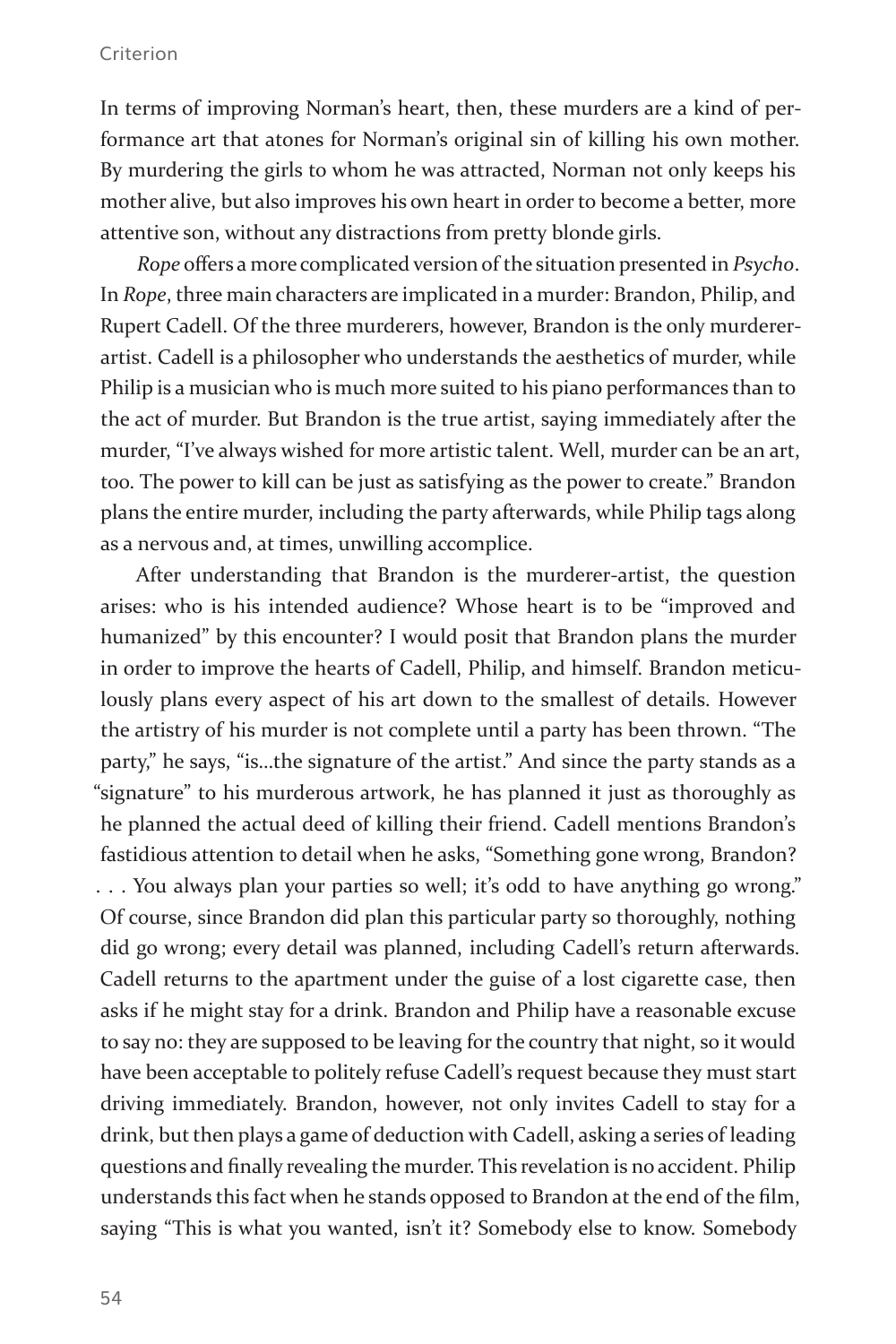In terms of improving Norman's heart, then, these murders are a kind of performance art that atones for Norman's original sin of killing his own mother. By murdering the girls to whom he was attracted, Norman not only keeps his mother alive, but also improves his own heart in order to become a better, more attentive son, without any distractions from pretty blonde girls.

*Rope* offers a more complicated version of the situation presented in *Psycho*. In *Rope*, three main characters are implicated in a murder: Brandon, Philip, and Rupert Cadell. Of the three murderers, however, Brandon is the only murdererartist. Cadell is a philosopher who understands the aesthetics of murder, while Philip is a musician who is much more suited to his piano performances than to the act of murder. But Brandon is the true artist, saying immediately after the murder, "I've always wished for more artistic talent. Well, murder can be an art, too. The power to kill can be just as satisfying as the power to create." Brandon plans the entire murder, including the party afterwards, while Philip tags along as a nervous and, at times, unwilling accomplice.

After understanding that Brandon is the murderer-artist, the question arises: who is his intended audience? Whose heart is to be "improved and humanized" by this encounter? I would posit that Brandon plans the murder in order to improve the hearts of Cadell, Philip, and himself. Brandon meticulously plans every aspect of his art down to the smallest of details. However the artistry of his murder is not complete until a party has been thrown. "The party," he says, "is…the signature of the artist." And since the party stands as a "signature" to his murderous artwork, he has planned it just as thoroughly as he planned the actual deed of killing their friend. Cadell mentions Brandon's fastidious attention to detail when he asks, "Something gone wrong, Brandon? . . . You always plan your parties so well; it's odd to have anything go wrong." Of course, since Brandon did plan this particular party so thoroughly, nothing did go wrong; every detail was planned, including Cadell's return afterwards. Cadell returns to the apartment under the guise of a lost cigarette case, then asks if he might stay for a drink. Brandon and Philip have a reasonable excuse to say no: they are supposed to be leaving for the country that night, so it would have been acceptable to politely refuse Cadell's request because they must start driving immediately. Brandon, however, not only invites Cadell to stay for a drink, but then plays a game of deduction with Cadell, asking a series of leading questions and finally revealing the murder. This revelation is no accident. Philip understands this fact when he stands opposed to Brandon at the end of the film, saying "This is what you wanted, isn't it? Somebody else to know. Somebody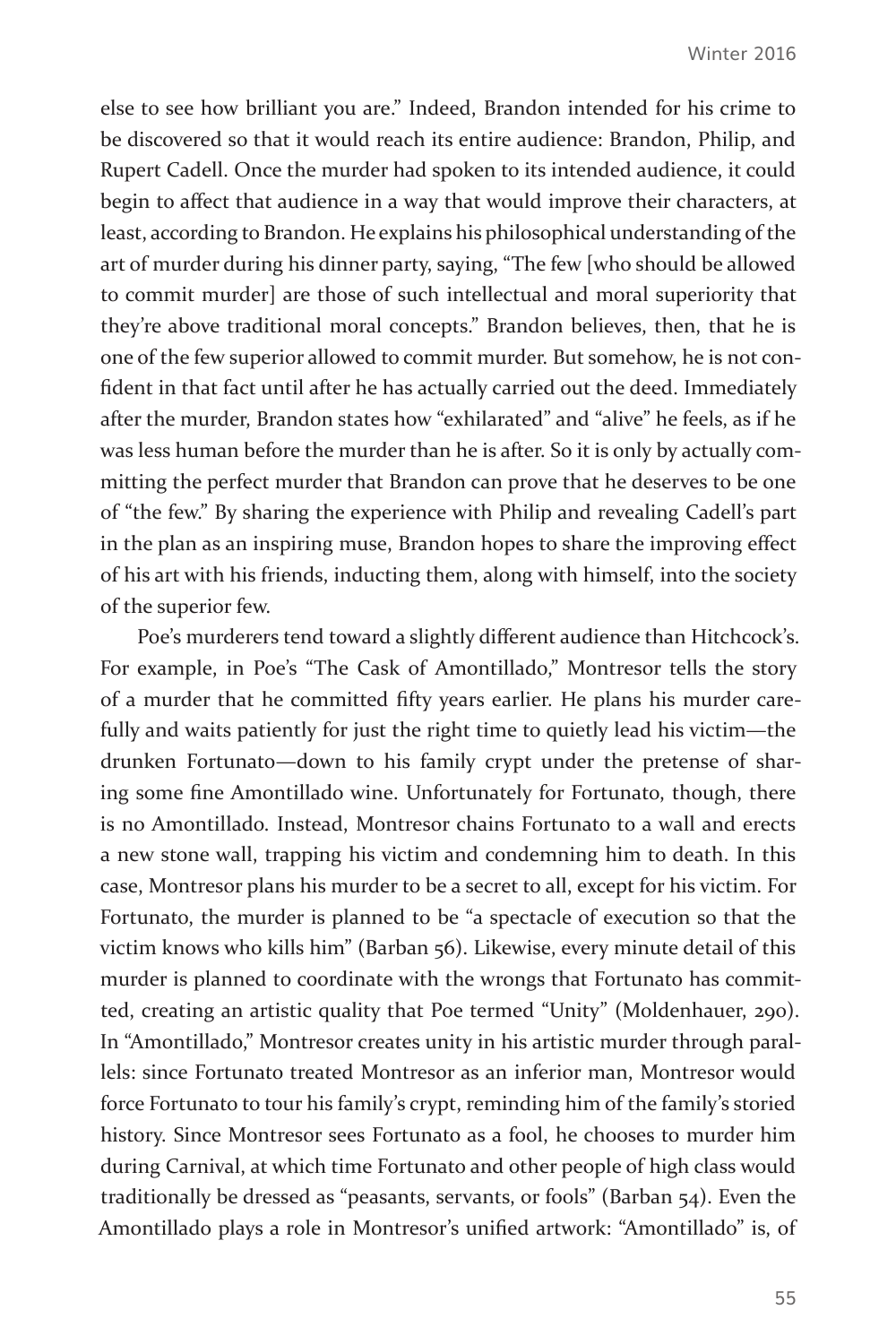else to see how brilliant you are." Indeed, Brandon intended for his crime to be discovered so that it would reach its entire audience: Brandon, Philip, and Rupert Cadell. Once the murder had spoken to its intended audience, it could begin to affect that audience in a way that would improve their characters, at least, according to Brandon. He explains his philosophical understanding of the art of murder during his dinner party, saying, "The few [who should be allowed to commit murder] are those of such intellectual and moral superiority that they're above traditional moral concepts." Brandon believes, then, that he is one of the few superior allowed to commit murder. But somehow, he is not confident in that fact until after he has actually carried out the deed. Immediately after the murder, Brandon states how "exhilarated" and "alive" he feels, as if he was less human before the murder than he is after. So it is only by actually committing the perfect murder that Brandon can prove that he deserves to be one of "the few." By sharing the experience with Philip and revealing Cadell's part in the plan as an inspiring muse, Brandon hopes to share the improving effect of his art with his friends, inducting them, along with himself, into the society of the superior few.

Poe's murderers tend toward a slightly different audience than Hitchcock's. For example, in Poe's "The Cask of Amontillado," Montresor tells the story of a murder that he committed fifty years earlier. He plans his murder carefully and waits patiently for just the right time to quietly lead his victim—the drunken Fortunato—down to his family crypt under the pretense of sharing some fine Amontillado wine. Unfortunately for Fortunato, though, there is no Amontillado. Instead, Montresor chains Fortunato to a wall and erects a new stone wall, trapping his victim and condemning him to death. In this case, Montresor plans his murder to be a secret to all, except for his victim. For Fortunato, the murder is planned to be "a spectacle of execution so that the victim knows who kills him" (Barban 56). Likewise, every minute detail of this murder is planned to coordinate with the wrongs that Fortunato has committed, creating an artistic quality that Poe termed "Unity" (Moldenhauer, 290). In "Amontillado," Montresor creates unity in his artistic murder through parallels: since Fortunato treated Montresor as an inferior man, Montresor would force Fortunato to tour his family's crypt, reminding him of the family's storied history. Since Montresor sees Fortunato as a fool, he chooses to murder him during Carnival, at which time Fortunato and other people of high class would traditionally be dressed as "peasants, servants, or fools" (Barban 54). Even the Amontillado plays a role in Montresor's unified artwork: "Amontillado" is, of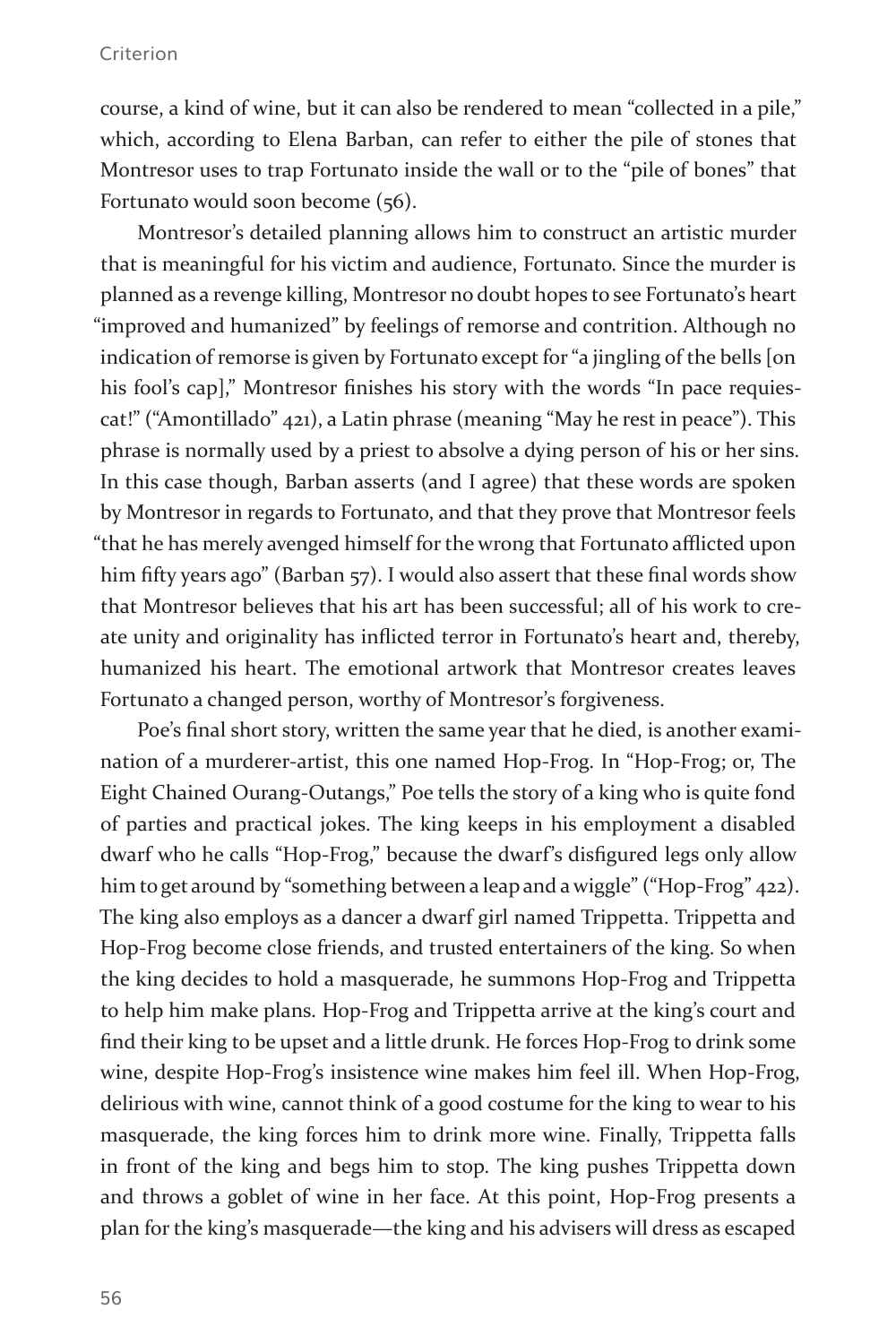course, a kind of wine, but it can also be rendered to mean "collected in a pile," which, according to Elena Barban, can refer to either the pile of stones that Montresor uses to trap Fortunato inside the wall or to the "pile of bones" that Fortunato would soon become (56).

Montresor's detailed planning allows him to construct an artistic murder that is meaningful for his victim and audience, Fortunato. Since the murder is planned as a revenge killing, Montresor no doubt hopes to see Fortunato's heart "improved and humanized" by feelings of remorse and contrition. Although no indication of remorse is given by Fortunato except for "a jingling of the bells [on his fool's cap]," Montresor finishes his story with the words "In pace requiescat!" ("Amontillado" 421), a Latin phrase (meaning "May he rest in peace"). This phrase is normally used by a priest to absolve a dying person of his or her sins. In this case though, Barban asserts (and I agree) that these words are spoken by Montresor in regards to Fortunato, and that they prove that Montresor feels "that he has merely avenged himself for the wrong that Fortunato afflicted upon him fifty years ago" (Barban 57). I would also assert that these final words show that Montresor believes that his art has been successful; all of his work to create unity and originality has inflicted terror in Fortunato's heart and, thereby, humanized his heart. The emotional artwork that Montresor creates leaves Fortunato a changed person, worthy of Montresor's forgiveness.

Poe's final short story, written the same year that he died, is another examination of a murderer-artist, this one named Hop-Frog. In "Hop-Frog; or, The Eight Chained Ourang-Outangs," Poe tells the story of a king who is quite fond of parties and practical jokes. The king keeps in his employment a disabled dwarf who he calls "Hop-Frog," because the dwarf's disfigured legs only allow him to get around by "something between a leap and a wiggle" ("Hop-Frog" 422). The king also employs as a dancer a dwarf girl named Trippetta. Trippetta and Hop-Frog become close friends, and trusted entertainers of the king. So when the king decides to hold a masquerade, he summons Hop-Frog and Trippetta to help him make plans. Hop-Frog and Trippetta arrive at the king's court and find their king to be upset and a little drunk. He forces Hop-Frog to drink some wine, despite Hop-Frog's insistence wine makes him feel ill. When Hop-Frog, delirious with wine, cannot think of a good costume for the king to wear to his masquerade, the king forces him to drink more wine. Finally, Trippetta falls in front of the king and begs him to stop. The king pushes Trippetta down and throws a goblet of wine in her face. At this point, Hop-Frog presents a plan for the king's masquerade—the king and his advisers will dress as escaped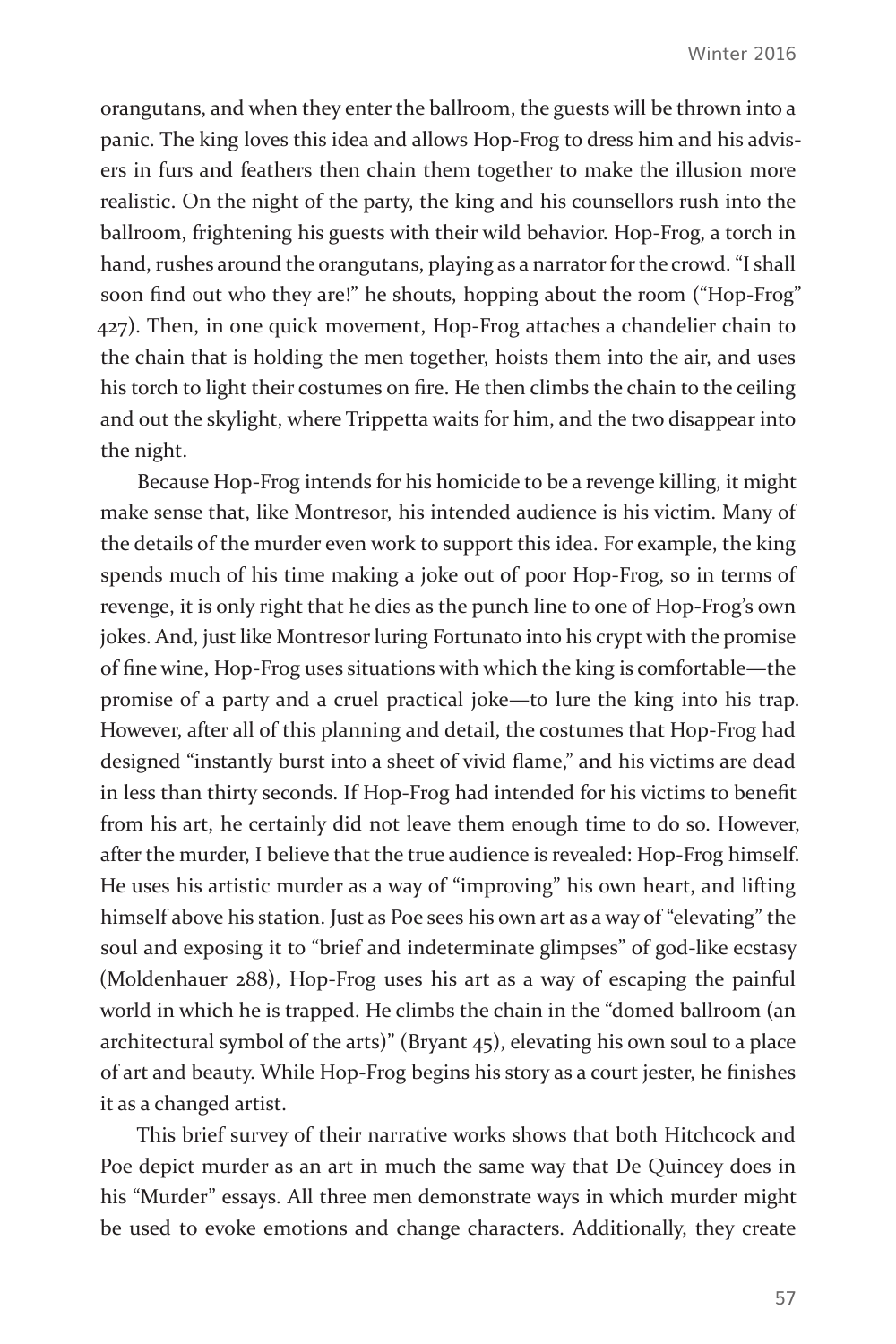orangutans, and when they enter the ballroom, the guests will be thrown into a panic. The king loves this idea and allows Hop-Frog to dress him and his advisers in furs and feathers then chain them together to make the illusion more realistic. On the night of the party, the king and his counsellors rush into the ballroom, frightening his guests with their wild behavior. Hop-Frog, a torch in hand, rushes around the orangutans, playing as a narrator for the crowd. "I shall soon find out who they are!" he shouts, hopping about the room ("Hop-Frog" 427). Then, in one quick movement, Hop-Frog attaches a chandelier chain to the chain that is holding the men together, hoists them into the air, and uses his torch to light their costumes on fire. He then climbs the chain to the ceiling and out the skylight, where Trippetta waits for him, and the two disappear into the night.

Because Hop-Frog intends for his homicide to be a revenge killing, it might make sense that, like Montresor, his intended audience is his victim. Many of the details of the murder even work to support this idea. For example, the king spends much of his time making a joke out of poor Hop-Frog, so in terms of revenge, it is only right that he dies as the punch line to one of Hop-Frog's own jokes. And, just like Montresor luring Fortunato into his crypt with the promise of fine wine, Hop-Frog uses situations with which the king is comfortable—the promise of a party and a cruel practical joke—to lure the king into his trap. However, after all of this planning and detail, the costumes that Hop-Frog had designed "instantly burst into a sheet of vivid flame," and his victims are dead in less than thirty seconds. If Hop-Frog had intended for his victims to benefit from his art, he certainly did not leave them enough time to do so. However, after the murder, I believe that the true audience is revealed: Hop-Frog himself. He uses his artistic murder as a way of "improving" his own heart, and lifting himself above his station. Just as Poe sees his own art as a way of "elevating" the soul and exposing it to "brief and indeterminate glimpses" of god-like ecstasy (Moldenhauer 288), Hop-Frog uses his art as a way of escaping the painful world in which he is trapped. He climbs the chain in the "domed ballroom (an architectural symbol of the arts)" (Bryant 45), elevating his own soul to a place of art and beauty. While Hop-Frog begins his story as a court jester, he finishes it as a changed artist.

This brief survey of their narrative works shows that both Hitchcock and Poe depict murder as an art in much the same way that De Quincey does in his "Murder" essays. All three men demonstrate ways in which murder might be used to evoke emotions and change characters. Additionally, they create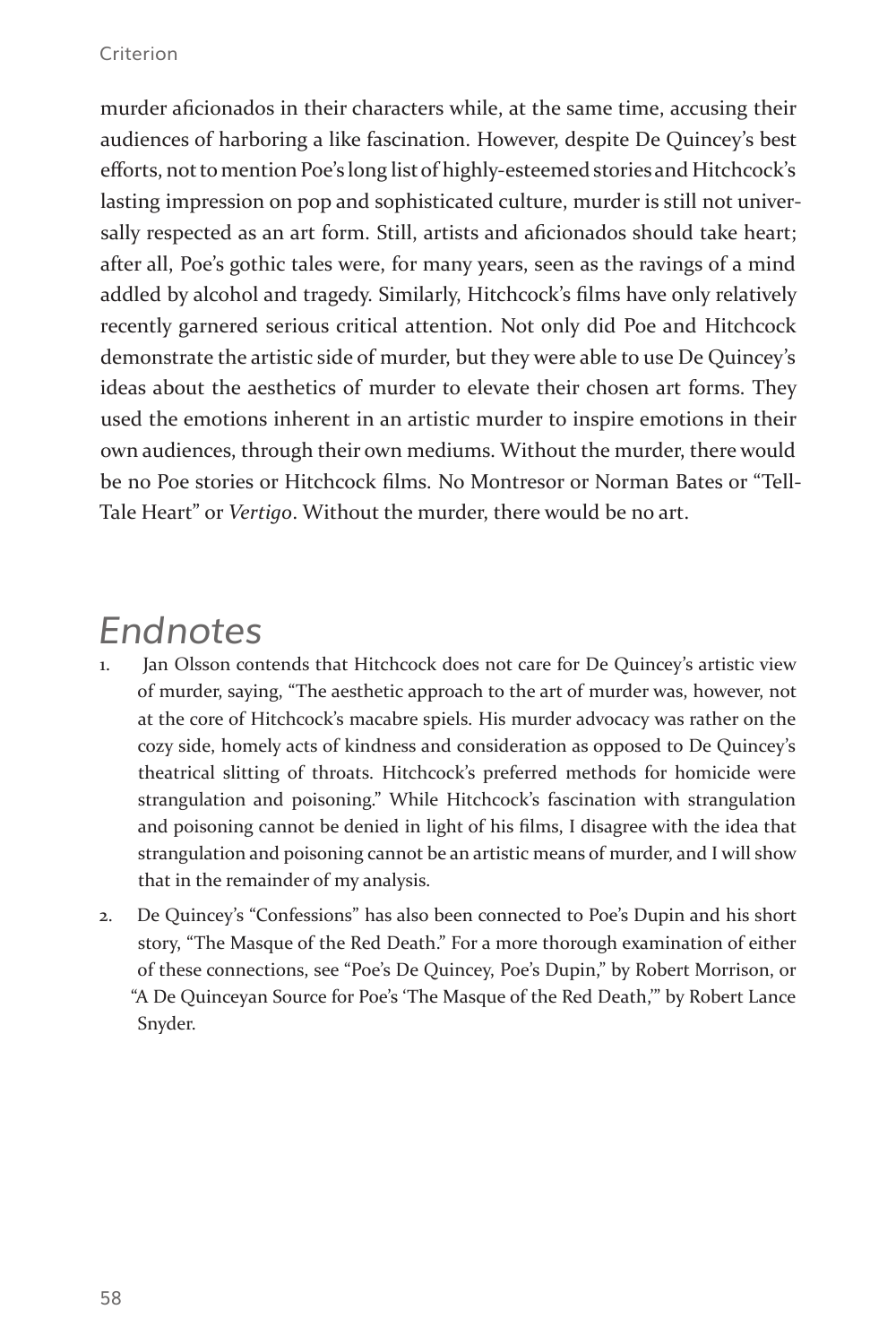murder aficionados in their characters while, at the same time, accusing their audiences of harboring a like fascination. However, despite De Quincey's best efforts, not to mention Poe's long list of highly-esteemed stories and Hitchcock's lasting impression on pop and sophisticated culture, murder is still not universally respected as an art form. Still, artists and aficionados should take heart; after all, Poe's gothic tales were, for many years, seen as the ravings of a mind addled by alcohol and tragedy. Similarly, Hitchcock's films have only relatively recently garnered serious critical attention. Not only did Poe and Hitchcock demonstrate the artistic side of murder, but they were able to use De Quincey's ideas about the aesthetics of murder to elevate their chosen art forms. They used the emotions inherent in an artistic murder to inspire emotions in their own audiences, through their own mediums. Without the murder, there would be no Poe stories or Hitchcock films. No Montresor or Norman Bates or "Tell-Tale Heart" or *Vertigo*. Without the murder, there would be no art.

### *Endnotes*

- Jan Olsson contends that Hitchcock does not care for De Quincey's artistic view of murder, saying, "The aesthetic approach to the art of murder was, however, not at the core of Hitchcock's macabre spiels. His murder advocacy was rather on the cozy side, homely acts of kindness and consideration as opposed to De Quincey's theatrical slitting of throats. Hitchcock's preferred methods for homicide were strangulation and poisoning." While Hitchcock's fascination with strangulation and poisoning cannot be denied in light of his films, I disagree with the idea that strangulation and poisoning cannot be an artistic means of murder, and I will show that in the remainder of my analysis.
- 2. De Quincey's "Confessions" has also been connected to Poe's Dupin and his short story, "The Masque of the Red Death." For a more thorough examination of either of these connections, see "Poe's De Quincey, Poe's Dupin," by Robert Morrison, or "A De Quinceyan Source for Poe's 'The Masque of the Red Death,'" by Robert Lance Snyder.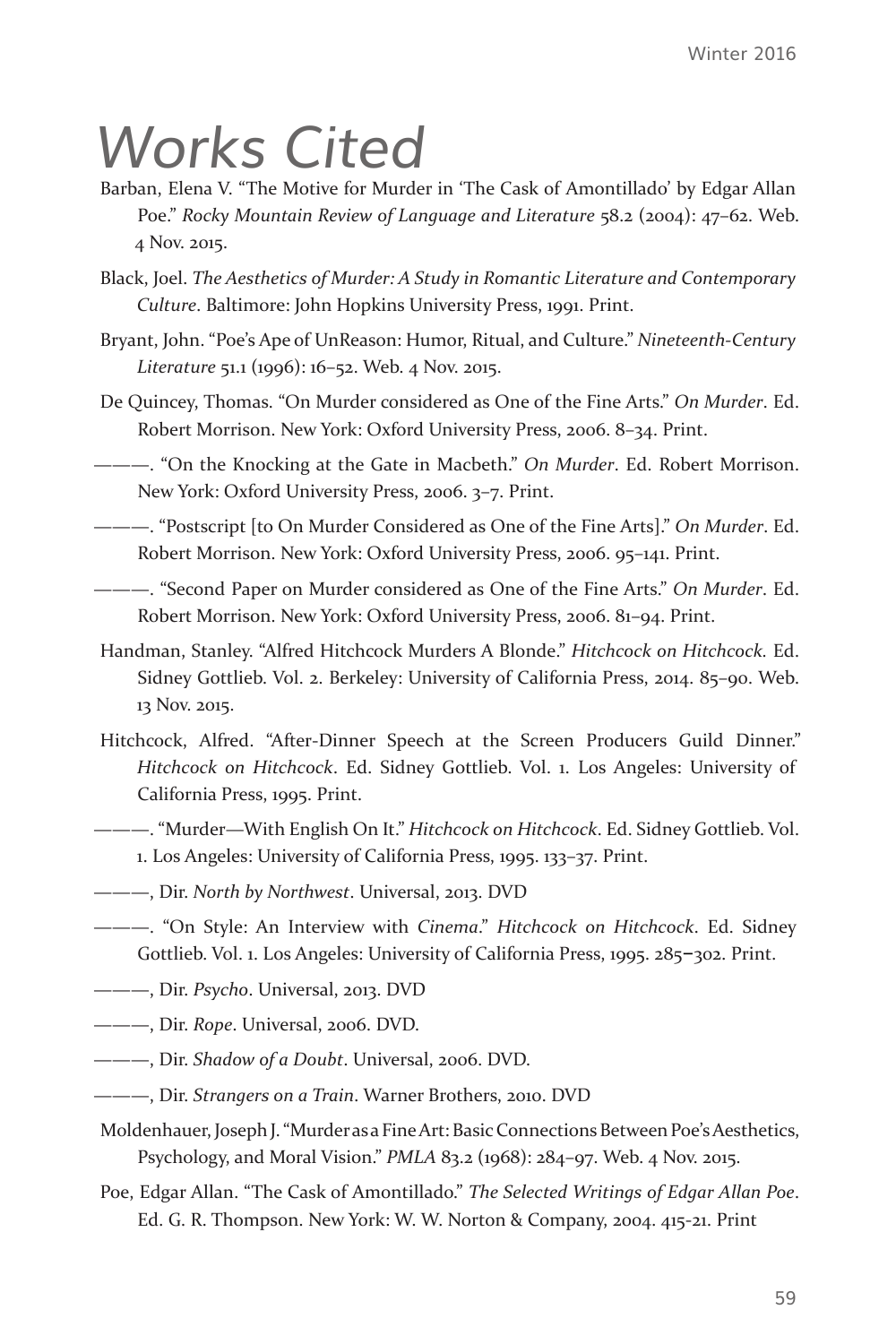## *Works Cited*

- Barban, Elena V. "The Motive for Murder in 'The Cask of Amontillado' by Edgar Allan Poe." *Rocky Mountain Review of Language and Literature* 58.2 (2004): 47–62. Web. 4 Nov. 2015.
- Black, Joel. *The Aesthetics of Murder: A Study in Romantic Literature and Contemporary Culture*. Baltimore: John Hopkins University Press, 1991. Print.
- Bryant, John. "Poe's Ape of UnReason: Humor, Ritual, and Culture." *Nineteenth-Century Literature* 51.1 (1996): 16–52. Web. 4 Nov. 2015.
- De Quincey, Thomas. "On Murder considered as One of the Fine Arts." *On Murder*. Ed. Robert Morrison. New York: Oxford University Press, 2006. 8–34. Print.

———. "On the Knocking at the Gate in Macbeth." *On Murder*. Ed. Robert Morrison. New York: Oxford University Press, 2006. 3–7. Print.

———. "Postscript [to On Murder Considered as One of the Fine Arts]." *On Murder*. Ed. Robert Morrison. New York: Oxford University Press, 2006. 95–141. Print.

———. "Second Paper on Murder considered as One of the Fine Arts." *On Murder*. Ed. Robert Morrison. New York: Oxford University Press, 2006. 81–94. Print.

- Handman, Stanley. "Alfred Hitchcock Murders A Blonde." *Hitchcock on Hitchcock.* Ed. Sidney Gottlieb. Vol. 2. Berkeley: University of California Press, 2014. 85–90. Web. 13 Nov. 2015.
- Hitchcock, Alfred. "After-Dinner Speech at the Screen Producers Guild Dinner." *Hitchcock on Hitchcock*. Ed. Sidney Gottlieb. Vol. 1. Los Angeles: University of California Press, 1995. Print.
- ———. "Murder—With English On It." *Hitchcock on Hitchcock*. Ed. Sidney Gottlieb. Vol. 1. Los Angeles: University of California Press, 1995. 133–37. Print.
- ———, Dir. *North by Northwest*. Universal, 2013. DVD
- ———. "On Style: An Interview with *Cinema*." *Hitchcock on Hitchcock*. Ed. Sidney Gottlieb. Vol. 1. Los Angeles: University of California Press, 1995. 285–302. Print.
- ———, Dir. *Psycho*. Universal, 2013. DVD
- ———, Dir. *Rope*. Universal, 2006. DVD.
- ———, Dir. *Shadow of a Doubt*. Universal, 2006. DVD.
- ———, Dir. *Strangers on a Train*. Warner Brothers, 2010. DVD
- Moldenhauer, Joseph J. "Murder as a Fine Art: Basic Connections Between Poe's Aesthetics, Psychology, and Moral Vision." *PMLA* 83.2 (1968): 284–97. Web. 4 Nov. 2015.
- Poe, Edgar Allan. "The Cask of Amontillado." *The Selected Writings of Edgar Allan Poe*. Ed. G. R. Thompson. New York: W. W. Norton & Company, 2004. 415-21. Print